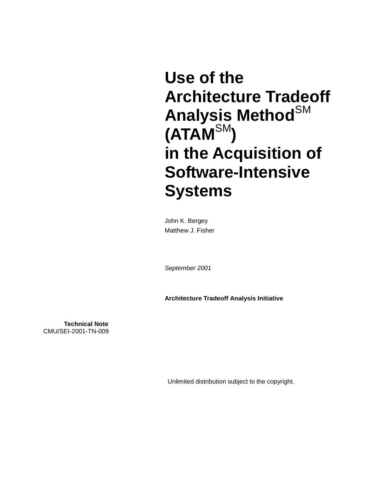# **Use of the Architecture Tradeoff**  Analysis Method<sup>SM</sup> **(ATAM**SM**) in the Acquisition of Software-Intensive Systems**

John K. Bergey Matthew J. Fisher

*September 2001* 

**Architecture Tradeoff Analysis Initiative** 

**Technical Note** CMU/SEI-2001-TN-009

Unlimited distribution subject to the copyright.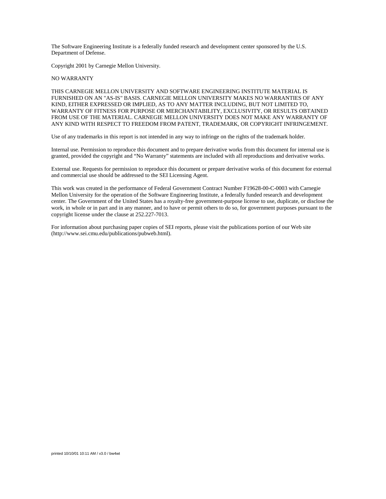The Software Engineering Institute is a federally funded research and development center sponsored by the U.S. Department of Defense.

Copyright 2001 by Carnegie Mellon University.

#### NO WARRANTY

THIS CARNEGIE MELLON UNIVERSITY AND SOFTWARE ENGINEERING INSTITUTE MATERIAL IS FURNISHED ON AN "AS-IS" BASIS. CARNEGIE MELLON UNIVERSITY MAKES NO WARRANTIES OF ANY KIND, EITHER EXPRESSED OR IMPLIED, AS TO ANY MATTER INCLUDING, BUT NOT LIMITED TO, WARRANTY OF FITNESS FOR PURPOSE OR MERCHANTABILITY, EXCLUSIVITY, OR RESULTS OBTAINED FROM USE OF THE MATERIAL. CARNEGIE MELLON UNIVERSITY DOES NOT MAKE ANY WARRANTY OF ANY KIND WITH RESPECT TO FREEDOM FROM PATENT, TRADEMARK, OR COPYRIGHT INFRINGEMENT.

Use of any trademarks in this report is not intended in any way to infringe on the rights of the trademark holder.

Internal use. Permission to reproduce this document and to prepare derivative works from this document for internal use is granted, provided the copyright and "No Warranty" statements are included with all reproductions and derivative works.

External use. Requests for permission to reproduce this document or prepare derivative works of this document for external and commercial use should be addressed to the SEI Licensing Agent.

This work was created in the performance of Federal Government Contract Number F19628-00-C-0003 with Carnegie Mellon University for the operation of the Software Engineering Institute, a federally funded research and development center. The Government of the United States has a royalty-free government-purpose license to use, duplicate, or disclose the work, in whole or in part and in any manner, and to have or permit others to do so, for government purposes pursuant to the copyright license under the clause at 252.227-7013.

For information about purchasing paper copies of SEI reports, please visit the publications portion of our Web site (http://www.sei.cmu.edu/publications/pubweb.html).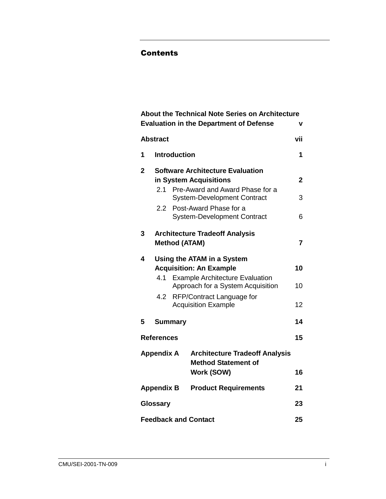## Contents

| About the Technical Note Series on Architecture |                                                                                                                                                                                                                      |                |                                                                                                                                                                                                            |                          |
|-------------------------------------------------|----------------------------------------------------------------------------------------------------------------------------------------------------------------------------------------------------------------------|----------------|------------------------------------------------------------------------------------------------------------------------------------------------------------------------------------------------------------|--------------------------|
|                                                 |                                                                                                                                                                                                                      |                | <b>Evaluation in the Department of Defense</b>                                                                                                                                                             | v                        |
| <b>Abstract</b><br>vii                          |                                                                                                                                                                                                                      |                |                                                                                                                                                                                                            |                          |
| 1                                               | <b>Introduction</b>                                                                                                                                                                                                  |                |                                                                                                                                                                                                            | 1                        |
| $\overline{2}$                                  | 2.1<br>$2.2\,$                                                                                                                                                                                                       |                | <b>Software Architecture Evaluation</b><br>in System Acquisitions<br>Pre-Award and Award Phase for a<br><b>System-Development Contract</b><br>Post-Award Phase for a<br><b>System-Development Contract</b> | $\overline{2}$<br>3<br>6 |
| 3                                               |                                                                                                                                                                                                                      |                | <b>Architecture Tradeoff Analysis</b><br><b>Method (ATAM)</b>                                                                                                                                              | $\overline{7}$           |
| 4                                               | Using the ATAM in a System<br><b>Acquisition: An Example</b><br><b>Example Architecture Evaluation</b><br>4.1<br>Approach for a System Acquisition<br>RFP/Contract Language for<br>4.2<br><b>Acquisition Example</b> |                |                                                                                                                                                                                                            | 10<br>10<br>12           |
| 5                                               |                                                                                                                                                                                                                      | <b>Summary</b> |                                                                                                                                                                                                            | 14                       |
| <b>References</b><br>15                         |                                                                                                                                                                                                                      |                |                                                                                                                                                                                                            |                          |
| <b>Appendix A</b>                               |                                                                                                                                                                                                                      |                | <b>Architecture Tradeoff Analysis</b><br><b>Method Statement of</b><br>Work (SOW)                                                                                                                          | 16                       |
|                                                 | <b>Appendix B</b>                                                                                                                                                                                                    |                | <b>Product Requirements</b>                                                                                                                                                                                | 21                       |
|                                                 | Glossary                                                                                                                                                                                                             |                |                                                                                                                                                                                                            | 23                       |
| <b>Feedback and Contact</b>                     |                                                                                                                                                                                                                      |                | 25                                                                                                                                                                                                         |                          |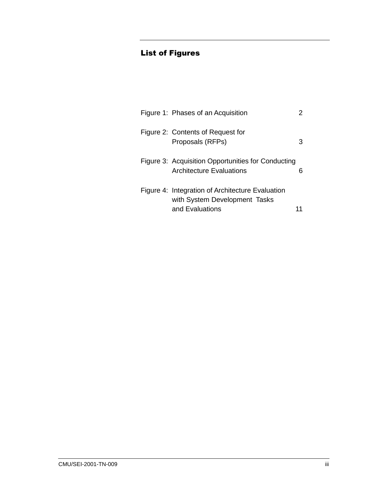## **List of Figures**

| Figure 1: Phases of an Acquisition                                                                   |   |
|------------------------------------------------------------------------------------------------------|---|
| Figure 2: Contents of Request for<br>Proposals (RFPs)                                                | З |
| Figure 3: Acquisition Opportunities for Conducting<br><b>Architecture Evaluations</b>                |   |
| Figure 4: Integration of Architecture Evaluation<br>with System Development Tasks<br>and Evaluations |   |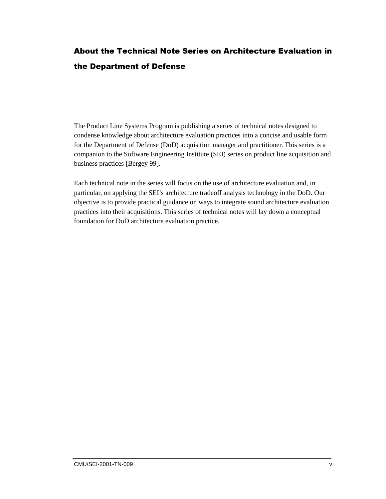## About the Technical Note Series on Architecture Evaluation in the Department of Defense

The Product Line Systems Program is publishing a series of technical notes designed to condense knowledge about architecture evaluation practices into a concise and usable form for the Department of Defense (DoD) acquisition manager and practitioner. This series is a companion to the Software Engineering Institute (SEI) series on product line acquisition and business practices [Bergey 99].

Each technical note in the series will focus on the use of architecture evaluation and, in particular, on applying the SEI's architecture tradeoff analysis technology in the DoD. Our objective is to provide practical guidance on ways to integrate sound architecture evaluation practices into their acquisitions. This series of technical notes will lay down a conceptual foundation for DoD architecture evaluation practice.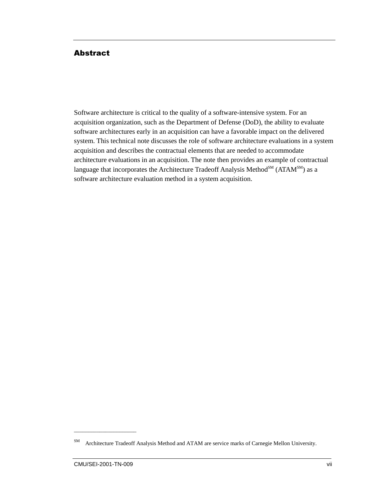## **Abstract**

Software architecture is critical to the quality of a software-intensive system. For an acquisition organization, such as the Department of Defense (DoD), the ability to evaluate software architectures early in an acquisition can have a favorable impact on the delivered system. This technical note discusses the role of software architecture evaluations in a system acquisition and describes the contractual elements that are needed to accommodate architecture evaluations in an acquisition. The note then provides an example of contractual language that incorporates the Architecture Tradeoff Analysis Method<sup>SM</sup> (ATAM<sup>SM</sup>) as a software architecture evaluation method in a system acquisition.

\_\_\_\_\_\_\_\_\_\_\_\_\_\_\_\_\_\_\_\_\_\_

SM Architecture Tradeoff Analysis Method and ATAM are service marks of Carnegie Mellon University.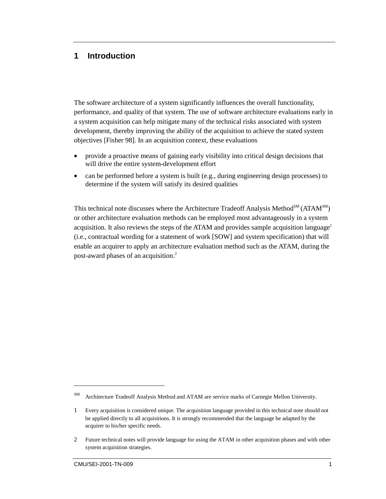## **1 Introduction**

The software architecture of a system significantly influences the overall functionality, performance, and quality of that system. The use of software architecture evaluations early in a system acquisition can help mitigate many of the technical risks associated with system development, thereby improving the ability of the acquisition to achieve the stated system objectives [Fisher 98]. In an acquisition context, these evaluations

- provide a proactive means of gaining early visibility into critical design decisions that will drive the entire system-development effort
- can be performed before a system is built (e.g., during engineering design processes) to determine if the system will satisfy its desired qualities

This technical note discusses where the Architecture Tradeoff Analysis Method $^{SM}$  (ATAM $^{SM}$ ) or other architecture evaluation methods can be employed most advantageously in a system acquisition. It also reviews the steps of the ATAM and provides sample acquisition language<sup>1</sup> (i.e., contractual wording for a statement of work [SOW] and system specification) that will enable an acquirer to apply an architecture evaluation method such as the ATAM, during the post-award phases of an acquisition.<sup>2</sup>

 $\overline{a}$ 

SM Architecture Tradeoff Analysis Method and ATAM are service marks of Carnegie Mellon University.

<sup>1</sup> Every acquisition is considered unique. The acquisition language provided in this technical note should not be applied directly to all acquisitions. It is strongly recommended that the language be adapted by the acquirer to his/her specific needs.

<sup>2</sup> Future technical notes will provide language for using the ATAM in other acquisition phases and with other system acquisition strategies.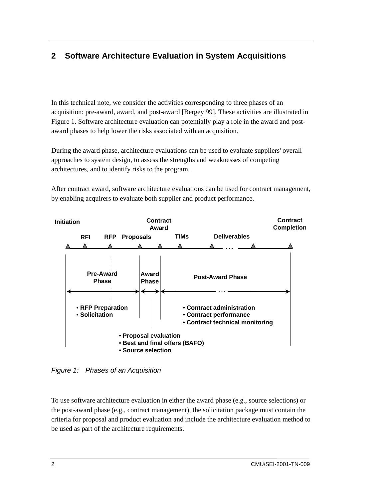## **2 Software Architecture Evaluation in System Acquisitions**

In this technical note, we consider the activities corresponding to three phases of an acquisition: pre-award, award, and post-award [Bergey 99]. These activities are illustrated in Figure 1. Software architecture evaluation can potentially play a role in the award and postaward phases to help lower the risks associated with an acquisition.

During the award phase, architecture evaluations can be used to evaluate suppliers' overall approaches to system design, to assess the strengths and weaknesses of competing architectures, and to identify risks to the program.

After contract award, software architecture evaluations can be used for contract management, by enabling acquirers to evaluate both supplier and product performance.



*Figure 1: Phases of an Acquisition* 

To use software architecture evaluation in either the award phase (e.g., source selections) or the post-award phase (e.g., contract management), the solicitation package must contain the criteria for proposal and product evaluation and include the architecture evaluation method to be used as part of the architecture requirements.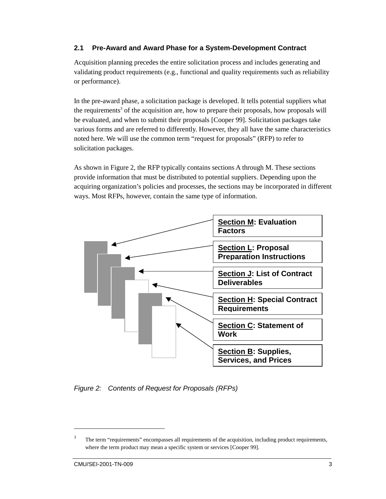## **2.1 Pre-Award and Award Phase for a System-Development Contract**

Acquisition planning precedes the entire solicitation process and includes generating and validating product requirements (e.g., functional and quality requirements such as reliability or performance).

In the pre-award phase, a solicitation package is developed. It tells potential suppliers what the requirements<sup>3</sup> of the acquisition are, how to prepare their proposals, how proposals will be evaluated, and when to submit their proposals [Cooper 99]. Solicitation packages take various forms and are referred to differently. However, they all have the same characteristics noted here. We will use the common term "request for proposals" (RFP) to refer to solicitation packages.

As shown in Figure 2, the RFP typically contains sections A through M. These sections provide information that must be distributed to potential suppliers. Depending upon the acquiring organization's policies and processes, the sections may be incorporated in different ways. Most RFPs, however, contain the same type of information.



*Figure 2: Contents of Request for Proposals (RFPs)* 

 $\overline{a}$ 

<sup>3</sup> The term "requirements" encompasses all requirements of the acquisition, including product requirements, where the term product may mean a specific system or services [Cooper 99].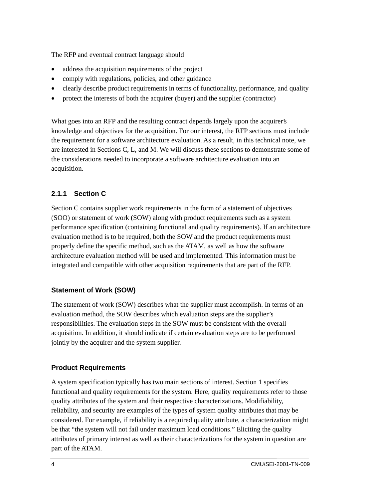The RFP and eventual contract language should

- address the acquisition requirements of the project
- comply with regulations, policies, and other guidance
- clearly describe product requirements in terms of functionality, performance, and quality
- protect the interests of both the acquirer (buyer) and the supplier (contractor)

What goes into an RFP and the resulting contract depends largely upon the acquirer's knowledge and objectives for the acquisition. For our interest, the RFP sections must include the requirement for a software architecture evaluation. As a result, in this technical note, we are interested in Sections C, L, and M. We will discuss these sections to demonstrate some of the considerations needed to incorporate a software architecture evaluation into an acquisition.

## **2.1.1 Section C**

Section C contains supplier work requirements in the form of a statement of objectives (SOO) or statement of work (SOW) along with product requirements such as a system performance specification (containing functional and quality requirements). If an architecture evaluation method is to be required, both the SOW and the product requirements must properly define the specific method, such as the ATAM, as well as how the software architecture evaluation method will be used and implemented. This information must be integrated and compatible with other acquisition requirements that are part of the RFP.

## **Statement of Work (SOW)**

The statement of work (SOW) describes what the supplier must accomplish. In terms of an evaluation method, the SOW describes which evaluation steps are the supplier's responsibilities. The evaluation steps in the SOW must be consistent with the overall acquisition. In addition, it should indicate if certain evaluation steps are to be performed jointly by the acquirer and the system supplier.

## **Product Requirements**

A system specification typically has two main sections of interest. Section 1 specifies functional and quality requirements for the system. Here, quality requirements refer to those quality attributes of the system and their respective characterizations. Modifiability, reliability, and security are examples of the types of system quality attributes that may be considered. For example, if reliability is a required quality attribute, a characterization might be that "the system will not fail under maximum load conditions." Eliciting the quality attributes of primary interest as well as their characterizations for the system in question are part of the ATAM.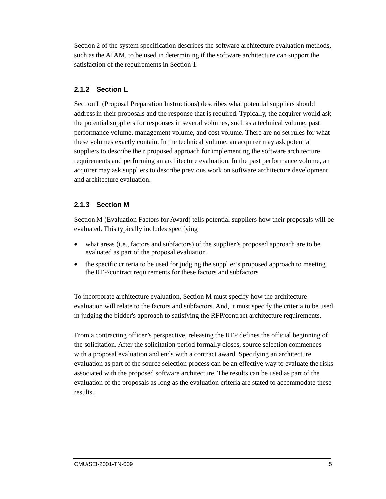Section 2 of the system specification describes the software architecture evaluation methods, such as the ATAM, to be used in determining if the software architecture can support the satisfaction of the requirements in Section 1.

## **2.1.2 Section L**

Section L (Proposal Preparation Instructions) describes what potential suppliers should address in their proposals and the response that is required. Typically, the acquirer would ask the potential suppliers for responses in several volumes, such as a technical volume, past performance volume, management volume, and cost volume. There are no set rules for what these volumes exactly contain. In the technical volume, an acquirer may ask potential suppliers to describe their proposed approach for implementing the software architecture requirements and performing an architecture evaluation. In the past performance volume, an acquirer may ask suppliers to describe previous work on software architecture development and architecture evaluation.

## **2.1.3 Section M**

Section M (Evaluation Factors for Award) tells potential suppliers how their proposals will be evaluated. This typically includes specifying

- what areas (i.e., factors and subfactors) of the supplier's proposed approach are to be evaluated as part of the proposal evaluation
- the specific criteria to be used for judging the supplier's proposed approach to meeting the RFP/contract requirements for these factors and subfactors

To incorporate architecture evaluation, Section M must specify how the architecture evaluation will relate to the factors and subfactors. And, it must specify the criteria to be used in judging the bidder's approach to satisfying the RFP/contract architecture requirements.

From a contracting officer's perspective, releasing the RFP defines the official beginning of the solicitation. After the solicitation period formally closes, source selection commences with a proposal evaluation and ends with a contract award. Specifying an architecture evaluation as part of the source selection process can be an effective way to evaluate the risks associated with the proposed software architecture. The results can be used as part of the evaluation of the proposals as long as the evaluation criteria are stated to accommodate these results.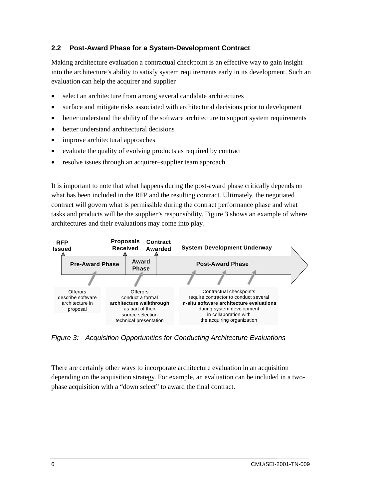## **2.2 Post-Award Phase for a System-Development Contract**

Making architecture evaluation a contractual checkpoint is an effective way to gain insight into the architecture's ability to satisfy system requirements early in its development. Such an evaluation can help the acquirer and supplier

- select an architecture from among several candidate architectures
- surface and mitigate risks associated with architectural decisions prior to development
- better understand the ability of the software architecture to support system requirements
- better understand architectural decisions
- improve architectural approaches
- evaluate the quality of evolving products as required by contract
- resolve issues through an acquirer–supplier team approach

It is important to note that what happens during the post-award phase critically depends on what has been included in the RFP and the resulting contract. Ultimately, the negotiated contract will govern what is permissible during the contract performance phase and what tasks and products will be the supplier's responsibility. Figure 3 shows an example of where architectures and their evaluations may come into play.



*Figure 3: Acquisition Opportunities for Conducting Architecture Evaluations* 

There are certainly other ways to incorporate architecture evaluation in an acquisition depending on the acquisition strategy. For example, an evaluation can be included in a twophase acquisition with a "down select" to award the final contract.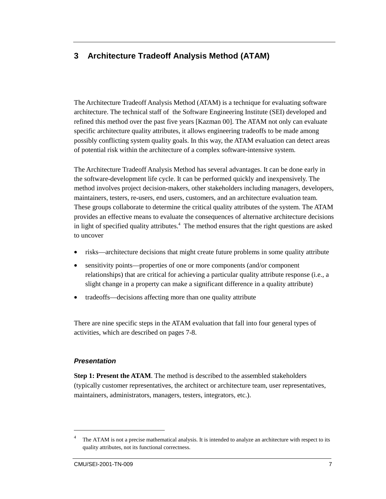## **3 Architecture Tradeoff Analysis Method (ATAM)**

The Architecture Tradeoff Analysis Method (ATAM) is a technique for evaluating software architecture. The technical staff of the Software Engineering Institute (SEI) developed and refined this method over the past five years [Kazman 00]. The ATAM not only can evaluate specific architecture quality attributes, it allows engineering tradeoffs to be made among possibly conflicting system quality goals. In this way, the ATAM evaluation can detect areas of potential risk within the architecture of a complex software-intensive system.

The Architecture Tradeoff Analysis Method has several advantages. It can be done early in the software-development life cycle. It can be performed quickly and inexpensively. The method involves project decision-makers, other stakeholders including managers, developers, maintainers, testers, re-users, end users, customers, and an architecture evaluation team. These groups collaborate to determine the critical quality attributes of the system. The ATAM provides an effective means to evaluate the consequences of alternative architecture decisions in light of specified quality attributes.<sup>4</sup> The method ensures that the right questions are asked to uncover

- risks—architecture decisions that might create future problems in some quality attribute
- sensitivity points—properties of one or more components (and/or component relationships) that are critical for achieving a particular quality attribute response (i.e., a slight change in a property can make a significant difference in a quality attribute)
- tradeoffs—decisions affecting more than one quality attribute

There are nine specific steps in the ATAM evaluation that fall into four general types of activities, which are described on pages 7-8.

#### *Presentation*

 $\overline{a}$ 

**Step 1: Present the ATAM**. The method is described to the assembled stakeholders (typically customer representatives, the architect or architecture team, user representatives, maintainers, administrators, managers, testers, integrators, etc.).

<sup>4</sup> The ATAM is not a precise mathematical analysis. It is intended to analyze an architecture with respect to its quality attributes, not its functional correctness.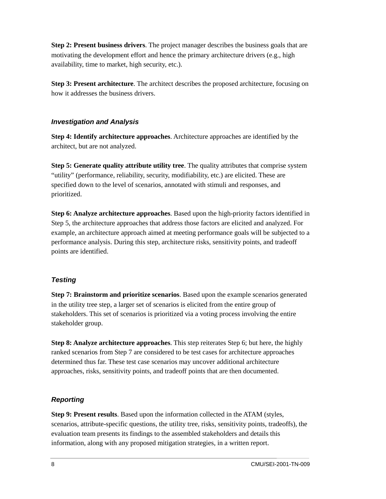**Step 2: Present business drivers**. The project manager describes the business goals that are motivating the development effort and hence the primary architecture drivers (e.g., high availability, time to market, high security, etc.).

**Step 3: Present architecture**. The architect describes the proposed architecture, focusing on how it addresses the business drivers.

## *Investigation and Analysis*

**Step 4: Identify architecture approaches**. Architecture approaches are identified by the architect, but are not analyzed.

**Step 5: Generate quality attribute utility tree**. The quality attributes that comprise system "utility" (performance, reliability, security, modifiability, etc.) are elicited. These are specified down to the level of scenarios, annotated with stimuli and responses, and prioritized.

**Step 6: Analyze architecture approaches**. Based upon the high-priority factors identified in Step 5, the architecture approaches that address those factors are elicited and analyzed. For example, an architecture approach aimed at meeting performance goals will be subjected to a performance analysis. During this step, architecture risks, sensitivity points, and tradeoff points are identified.

#### *Testing*

**Step 7: Brainstorm and prioritize scenarios**. Based upon the example scenarios generated in the utility tree step, a larger set of scenarios is elicited from the entire group of stakeholders. This set of scenarios is prioritized via a voting process involving the entire stakeholder group.

**Step 8: Analyze architecture approaches**. This step reiterates Step 6; but here, the highly ranked scenarios from Step 7 are considered to be test cases for architecture approaches determined thus far. These test case scenarios may uncover additional architecture approaches, risks, sensitivity points, and tradeoff points that are then documented.

## *Reporting*

**Step 9: Present results**. Based upon the information collected in the ATAM (styles, scenarios, attribute-specific questions, the utility tree, risks, sensitivity points, tradeoffs), the evaluation team presents its findings to the assembled stakeholders and details this information, along with any proposed mitigation strategies, in a written report.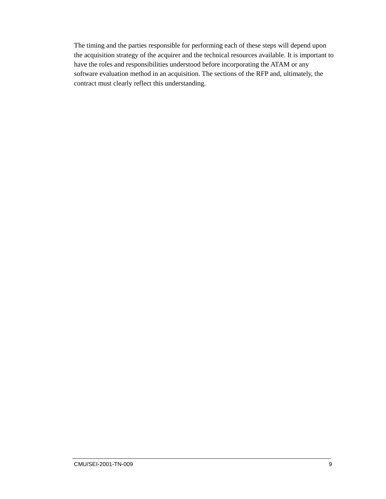The timing and the parties responsible for performing each of these steps will depend upon the acquisition strategy of the acquirer and the technical resources available. It is important to have the roles and responsibilities understood before incorporating the ATAM or any software evaluation method in an acquisition. The sections of the RFP and, ultimately, the contract must clearly reflect this understanding.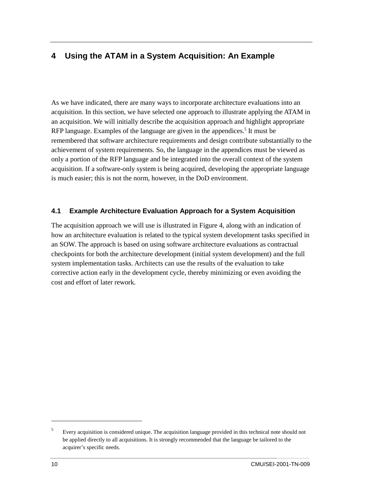## **4 Using the ATAM in a System Acquisition: An Example**

As we have indicated, there are many ways to incorporate architecture evaluations into an acquisition. In this section, we have selected one approach to illustrate applying the ATAM in an acquisition. We will initially describe the acquisition approach and highlight appropriate RFP language. Examples of the language are given in the appendices.<sup>5</sup> It must be remembered that software architecture requirements and design contribute substantially to the achievement of system requirements. So, the language in the appendices must be viewed as only a portion of the RFP language and be integrated into the overall context of the system acquisition. If a software-only system is being acquired, developing the appropriate language is much easier; this is not the norm, however, in the DoD environment.

### **4.1 Example Architecture Evaluation Approach for a System Acquisition**

The acquisition approach we will use is illustrated in Figure 4, along with an indication of how an architecture evaluation is related to the typical system development tasks specified in an SOW. The approach is based on using software architecture evaluations as contractual checkpoints for both the architecture development (initial system development) and the full system implementation tasks. Architects can use the results of the evaluation to take corrective action early in the development cycle, thereby minimizing or even avoiding the cost and effort of later rework.

 $\overline{a}$ 

<sup>5</sup> Every acquisition is considered unique. The acquisition language provided in this technical note should not be applied directly to all acquisitions. It is strongly recommended that the language be tailored to the acquirer's specific needs.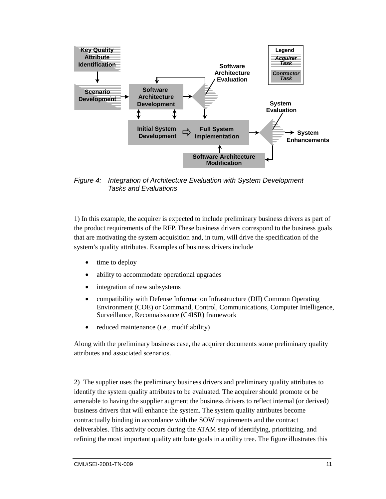

*Figure 4: Integration of Architecture Evaluation with System Development Tasks and Evaluations* 

1) In this example, the acquirer is expected to include preliminary business drivers as part of the product requirements of the RFP. These business drivers correspond to the business goals that are motivating the system acquisition and, in turn, will drive the specification of the system's quality attributes. Examples of business drivers include

- time to deploy
- ability to accommodate operational upgrades
- integration of new subsystems
- compatibility with Defense Information Infrastructure (DII) Common Operating Environment (COE) or Command, Control, Communications, Computer Intelligence, Surveillance, Reconnaissance (C4ISR) framework
- reduced maintenance (i.e., modifiability)

Along with the preliminary business case, the acquirer documents some preliminary quality attributes and associated scenarios.

2) The supplier uses the preliminary business drivers and preliminary quality attributes to identify the system quality attributes to be evaluated. The acquirer should promote or be amenable to having the supplier augment the business drivers to reflect internal (or derived) business drivers that will enhance the system. The system quality attributes become contractually binding in accordance with the SOW requirements and the contract deliverables. This activity occurs during the ATAM step of identifying, prioritizing, and refining the most important quality attribute goals in a utility tree. The figure illustrates this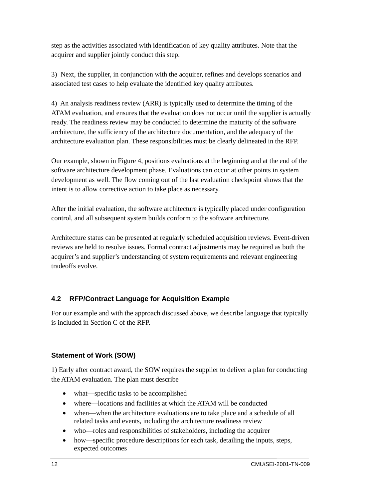step as the activities associated with identification of key quality attributes. Note that the acquirer and supplier jointly conduct this step.

3) Next, the supplier, in conjunction with the acquirer, refines and develops scenarios and associated test cases to help evaluate the identified key quality attributes.

4) An analysis readiness review (ARR) is typically used to determine the timing of the ATAM evaluation, and ensures that the evaluation does not occur until the supplier is actually ready. The readiness review may be conducted to determine the maturity of the software architecture, the sufficiency of the architecture documentation, and the adequacy of the architecture evaluation plan. These responsibilities must be clearly delineated in the RFP.

Our example, shown in Figure 4, positions evaluations at the beginning and at the end of the software architecture development phase. Evaluations can occur at other points in system development as well. The flow coming out of the last evaluation checkpoint shows that the intent is to allow corrective action to take place as necessary.

After the initial evaluation, the software architecture is typically placed under configuration control, and all subsequent system builds conform to the software architecture.

Architecture status can be presented at regularly scheduled acquisition reviews. Event-driven reviews are held to resolve issues. Formal contract adjustments may be required as both the acquirer's and supplier's understanding of system requirements and relevant engineering tradeoffs evolve.

## **4.2 RFP/Contract Language for Acquisition Example**

For our example and with the approach discussed above, we describe language that typically is included in Section C of the RFP.

## **Statement of Work (SOW)**

1) Early after contract award, the SOW requires the supplier to deliver a plan for conducting the ATAM evaluation. The plan must describe

- what—specific tasks to be accomplished
- where—locations and facilities at which the ATAM will be conducted
- when—when the architecture evaluations are to take place and a schedule of all related tasks and events, including the architecture readiness review
- who—roles and responsibilities of stakeholders, including the acquirer
- how—specific procedure descriptions for each task, detailing the inputs, steps, expected outcomes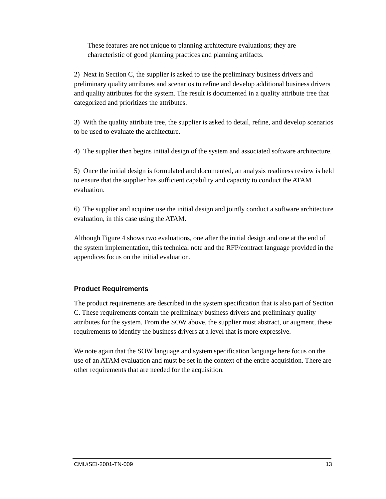These features are not unique to planning architecture evaluations; they are characteristic of good planning practices and planning artifacts.

2) Next in Section C, the supplier is asked to use the preliminary business drivers and preliminary quality attributes and scenarios to refine and develop additional business drivers and quality attributes for the system. The result is documented in a quality attribute tree that categorized and prioritizes the attributes.

3) With the quality attribute tree, the supplier is asked to detail, refine, and develop scenarios to be used to evaluate the architecture.

4) The supplier then begins initial design of the system and associated software architecture.

5) Once the initial design is formulated and documented, an analysis readiness review is held to ensure that the supplier has sufficient capability and capacity to conduct the ATAM evaluation.

6) The supplier and acquirer use the initial design and jointly conduct a software architecture evaluation, in this case using the ATAM.

Although Figure 4 shows two evaluations, one after the initial design and one at the end of the system implementation, this technical note and the RFP/contract language provided in the appendices focus on the initial evaluation.

## **Product Requirements**

The product requirements are described in the system specification that is also part of Section C. These requirements contain the preliminary business drivers and preliminary quality attributes for the system. From the SOW above, the supplier must abstract, or augment, these requirements to identify the business drivers at a level that is more expressive.

We note again that the SOW language and system specification language here focus on the use of an ATAM evaluation and must be set in the context of the entire acquisition. There are other requirements that are needed for the acquisition.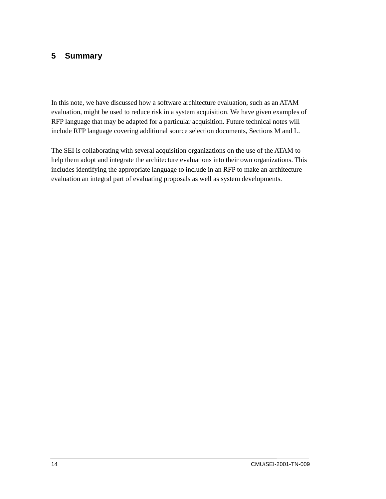## **5 Summary**

In this note, we have discussed how a software architecture evaluation, such as an ATAM evaluation, might be used to reduce risk in a system acquisition. We have given examples of RFP language that may be adapted for a particular acquisition. Future technical notes will include RFP language covering additional source selection documents, Sections M and L.

The SEI is collaborating with several acquisition organizations on the use of the ATAM to help them adopt and integrate the architecture evaluations into their own organizations. This includes identifying the appropriate language to include in an RFP to make an architecture evaluation an integral part of evaluating proposals as well as system developments.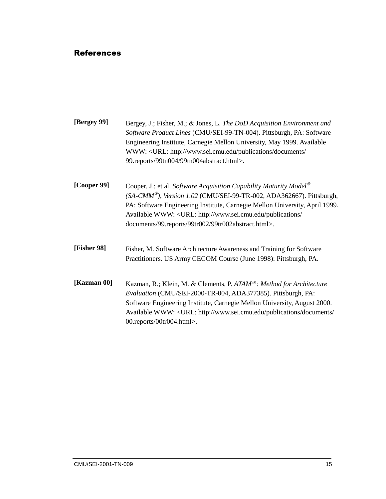## **References**

| [Bergey 99] | Bergey, J.; Fisher, M.; & Jones, L. The DoD Acquisition Environment and<br>Software Product Lines (CMU/SEI-99-TN-004). Pittsburgh, PA: Software<br>Engineering Institute, Carnegie Mellon University, May 1999. Available<br>WWW: <url: <br="" documents="" http:="" publications="" www.sei.cmu.edu="">99.reports/99tn004/99tn004abstract.html&gt;.</url:>                                           |  |  |  |
|-------------|-------------------------------------------------------------------------------------------------------------------------------------------------------------------------------------------------------------------------------------------------------------------------------------------------------------------------------------------------------------------------------------------------------|--|--|--|
| [Cooper 99] | Cooper, J.; et al. Software Acquisition Capability Maturity Model <sup>®</sup><br>$(SA\text{-}CMM^{\circledcirc})$ , Version 1.02 (CMU/SEI-99-TR-002, ADA362667). Pittsburgh,<br>PA: Software Engineering Institute, Carnegie Mellon University, April 1999.<br>Available WWW: <url: <br="" http:="" publications="" www.sei.cmu.edu="">documents/99.reports/99tr002/99tr002abstract.html&gt;.</url:> |  |  |  |
| [Fisher 98] | Fisher, M. Software Architecture Awareness and Training for Software<br>Practitioners. US Army CECOM Course (June 1998): Pittsburgh, PA.                                                                                                                                                                                                                                                              |  |  |  |
| [Kazman 00] | Kazman, R.; Klein, M. & Clements, P. ATAM <sup>SM</sup> : Method for Architecture<br>Evaluation (CMU/SEI-2000-TR-004, ADA377385). Pittsburgh, PA:<br>Software Engineering Institute, Carnegie Mellon University, August 2000.<br>Available WWW: <url: <br="" documents="" http:="" publications="" www.sei.cmu.edu="">00.reports/00tr004.html&gt;.</url:>                                             |  |  |  |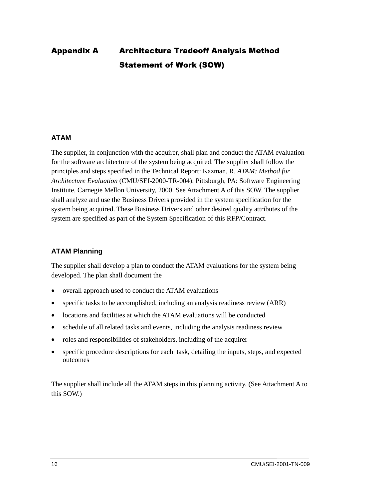## Appendix A Architecture Tradeoff Analysis Method Statement of Work (SOW)

#### **ATAM**

The supplier, in conjunction with the acquirer, shall plan and conduct the ATAM evaluation for the software architecture of the system being acquired. The supplier shall follow the principles and steps specified in the Technical Report: Kazman, R. *ATAM: Method for Architecture Evaluation* (CMU/SEI-2000-TR-004). Pittsburgh, PA: Software Engineering Institute, Carnegie Mellon University, 2000. See Attachment A of this SOW. The supplier shall analyze and use the Business Drivers provided in the system specification for the system being acquired. These Business Drivers and other desired quality attributes of the system are specified as part of the System Specification of this RFP/Contract.

#### **ATAM Planning**

The supplier shall develop a plan to conduct the ATAM evaluations for the system being developed. The plan shall document the

- overall approach used to conduct the ATAM evaluations
- specific tasks to be accomplished, including an analysis readiness review (ARR)
- locations and facilities at which the ATAM evaluations will be conducted
- schedule of all related tasks and events, including the analysis readiness review
- roles and responsibilities of stakeholders, including of the acquirer
- specific procedure descriptions for each task, detailing the inputs, steps, and expected outcomes

The supplier shall include all the ATAM steps in this planning activity. (See Attachment A to this SOW.)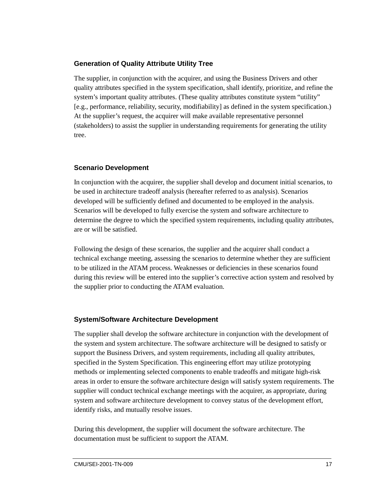## **Generation of Quality Attribute Utility Tree**

The supplier, in conjunction with the acquirer, and using the Business Drivers and other quality attributes specified in the system specification, shall identify, prioritize, and refine the system's important quality attributes. (These quality attributes constitute system "utility" [e.g., performance, reliability, security, modifiability] as defined in the system specification.) At the supplier's request, the acquirer will make available representative personnel (stakeholders) to assist the supplier in understanding requirements for generating the utility tree.

## **Scenario Development**

In conjunction with the acquirer, the supplier shall develop and document initial scenarios, to be used in architecture tradeoff analysis (hereafter referred to as analysis). Scenarios developed will be sufficiently defined and documented to be employed in the analysis. Scenarios will be developed to fully exercise the system and software architecture to determine the degree to which the specified system requirements, including quality attributes, are or will be satisfied.

Following the design of these scenarios, the supplier and the acquirer shall conduct a technical exchange meeting, assessing the scenarios to determine whether they are sufficient to be utilized in the ATAM process. Weaknesses or deficiencies in these scenarios found during this review will be entered into the supplier's corrective action system and resolved by the supplier prior to conducting the ATAM evaluation.

## **System/Software Architecture Development**

The supplier shall develop the software architecture in conjunction with the development of the system and system architecture. The software architecture will be designed to satisfy or support the Business Drivers, and system requirements, including all quality attributes, specified in the System Specification. This engineering effort may utilize prototyping methods or implementing selected components to enable tradeoffs and mitigate high-risk areas in order to ensure the software architecture design will satisfy system requirements. The supplier will conduct technical exchange meetings with the acquirer, as appropriate, during system and software architecture development to convey status of the development effort, identify risks, and mutually resolve issues.

During this development, the supplier will document the software architecture. The documentation must be sufficient to support the ATAM.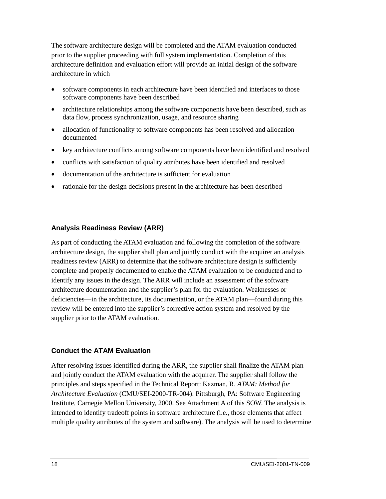The software architecture design will be completed and the ATAM evaluation conducted prior to the supplier proceeding with full system implementation. Completion of this architecture definition and evaluation effort will provide an initial design of the software architecture in which

- software components in each architecture have been identified and interfaces to those software components have been described
- architecture relationships among the software components have been described, such as data flow, process synchronization, usage, and resource sharing
- allocation of functionality to software components has been resolved and allocation documented
- key architecture conflicts among software components have been identified and resolved
- conflicts with satisfaction of quality attributes have been identified and resolved
- documentation of the architecture is sufficient for evaluation
- rationale for the design decisions present in the architecture has been described

#### **Analysis Readiness Review (ARR)**

As part of conducting the ATAM evaluation and following the completion of the software architecture design, the supplier shall plan and jointly conduct with the acquirer an analysis readiness review (ARR) to determine that the software architecture design is sufficiently complete and properly documented to enable the ATAM evaluation to be conducted and to identify any issues in the design. The ARR will include an assessment of the software architecture documentation and the supplier's plan for the evaluation. Weaknesses or deficiencies—in the architecture, its documentation, or the ATAM plan—found during this review will be entered into the supplier's corrective action system and resolved by the supplier prior to the ATAM evaluation.

#### **Conduct the ATAM Evaluation**

After resolving issues identified during the ARR, the supplier shall finalize the ATAM plan and jointly conduct the ATAM evaluation with the acquirer. The supplier shall follow the principles and steps specified in the Technical Report: Kazman, R. *ATAM: Method for Architecture Evaluation* (CMU/SEI-2000-TR-004). Pittsburgh, PA: Software Engineering Institute, Carnegie Mellon University, 2000. See Attachment A of this SOW. The analysis is intended to identify tradeoff points in software architecture (i.e., those elements that affect multiple quality attributes of the system and software). The analysis will be used to determine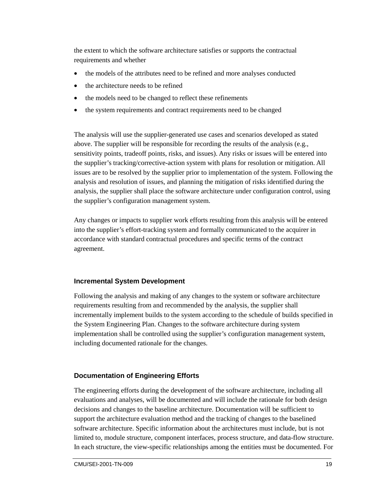the extent to which the software architecture satisfies or supports the contractual requirements and whether

- the models of the attributes need to be refined and more analyses conducted
- the architecture needs to be refined
- the models need to be changed to reflect these refinements
- the system requirements and contract requirements need to be changed

The analysis will use the supplier-generated use cases and scenarios developed as stated above. The supplier will be responsible for recording the results of the analysis (e.g., sensitivity points, tradeoff points, risks, and issues). Any risks or issues will be entered into the supplier's tracking/corrective-action system with plans for resolution or mitigation. All issues are to be resolved by the supplier prior to implementation of the system. Following the analysis and resolution of issues, and planning the mitigation of risks identified during the analysis, the supplier shall place the software architecture under configuration control, using the supplier's configuration management system.

Any changes or impacts to supplier work efforts resulting from this analysis will be entered into the supplier's effort-tracking system and formally communicated to the acquirer in accordance with standard contractual procedures and specific terms of the contract agreement.

#### **Incremental System Development**

Following the analysis and making of any changes to the system or software architecture requirements resulting from and recommended by the analysis, the supplier shall incrementally implement builds to the system according to the schedule of builds specified in the System Engineering Plan. Changes to the software architecture during system implementation shall be controlled using the supplier's configuration management system, including documented rationale for the changes.

#### **Documentation of Engineering Efforts**

The engineering efforts during the development of the software architecture, including all evaluations and analyses, will be documented and will include the rationale for both design decisions and changes to the baseline architecture. Documentation will be sufficient to support the architecture evaluation method and the tracking of changes to the baselined software architecture. Specific information about the architectures must include, but is not limited to, module structure, component interfaces, process structure, and data-flow structure. In each structure, the view-specific relationships among the entities must be documented. For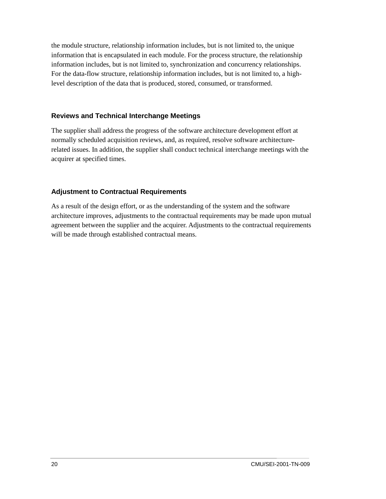the module structure, relationship information includes, but is not limited to, the unique information that is encapsulated in each module. For the process structure, the relationship information includes, but is not limited to, synchronization and concurrency relationships. For the data-flow structure, relationship information includes, but is not limited to, a highlevel description of the data that is produced, stored, consumed, or transformed.

## **Reviews and Technical Interchange Meetings**

The supplier shall address the progress of the software architecture development effort at normally scheduled acquisition reviews, and, as required, resolve software architecturerelated issues. In addition, the supplier shall conduct technical interchange meetings with the acquirer at specified times.

## **Adjustment to Contractual Requirements**

As a result of the design effort, or as the understanding of the system and the software architecture improves, adjustments to the contractual requirements may be made upon mutual agreement between the supplier and the acquirer. Adjustments to the contractual requirements will be made through established contractual means.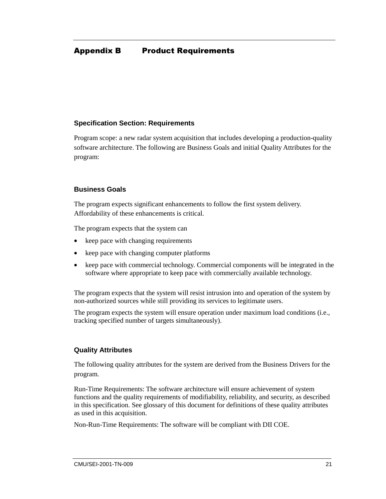#### **Appendix B Product Requirements**

## **Specification Section: Requirements**

Program scope: a new radar system acquisition that includes developing a production-quality software architecture. The following are Business Goals and initial Quality Attributes for the program:

#### **Business Goals**

The program expects significant enhancements to follow the first system delivery. Affordability of these enhancements is critical.

The program expects that the system can

- keep pace with changing requirements
- keep pace with changing computer platforms
- keep pace with commercial technology. Commercial components will be integrated in the software where appropriate to keep pace with commercially available technology.

The program expects that the system will resist intrusion into and operation of the system by non-authorized sources while still providing its services to legitimate users.

The program expects the system will ensure operation under maximum load conditions (i.e., tracking specified number of targets simultaneously).

#### **Quality Attributes**

The following quality attributes for the system are derived from the Business Drivers for the program.

Run-Time Requirements: The software architecture will ensure achievement of system functions and the quality requirements of modifiability, reliability, and security, as described in this specification. See glossary of this document for definitions of these quality attributes as used in this acquisition.

Non-Run-Time Requirements: The software will be compliant with DII COE.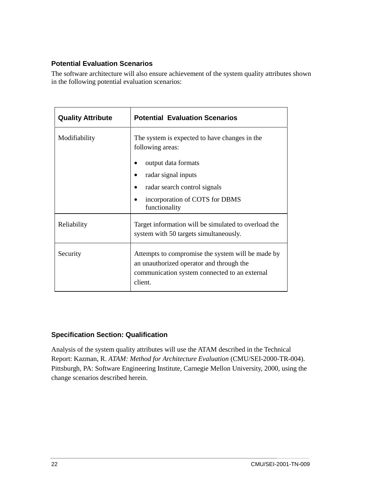## **Potential Evaluation Scenarios**

The software architecture will also ensure achievement of the system quality attributes shown in the following potential evaluation scenarios:

| <b>Quality Attribute</b> | <b>Potential Evaluation Scenarios</b>                                                                                                                     |  |  |
|--------------------------|-----------------------------------------------------------------------------------------------------------------------------------------------------------|--|--|
| Modifiability            | The system is expected to have changes in the<br>following areas:                                                                                         |  |  |
|                          | output data formats                                                                                                                                       |  |  |
|                          | radar signal inputs                                                                                                                                       |  |  |
|                          | radar search control signals                                                                                                                              |  |  |
|                          | incorporation of COTS for DBMS<br>functionality                                                                                                           |  |  |
| Reliability              | Target information will be simulated to overload the<br>system with 50 targets simultaneously.                                                            |  |  |
| Security                 | Attempts to compromise the system will be made by<br>an unauthorized operator and through the<br>communication system connected to an external<br>client. |  |  |

## **Specification Section: Qualification**

Analysis of the system quality attributes will use the ATAM described in the Technical Report: Kazman, R. *ATAM: Method for Architecture Evaluation* (CMU/SEI-2000-TR-004). Pittsburgh, PA: Software Engineering Institute, Carnegie Mellon University, 2000, using the change scenarios described herein.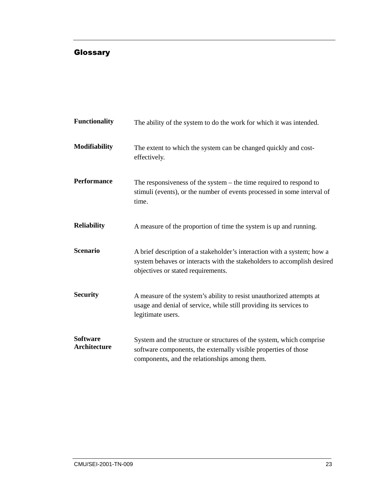## Glossary

| <b>Functionality</b>                   | The ability of the system to do the work for which it was intended.                                                                                                                      |  |  |  |
|----------------------------------------|------------------------------------------------------------------------------------------------------------------------------------------------------------------------------------------|--|--|--|
| <b>Modifiability</b>                   | The extent to which the system can be changed quickly and cost-<br>effectively.                                                                                                          |  |  |  |
| <b>Performance</b>                     | The responsiveness of the system $-$ the time required to respond to<br>stimuli (events), or the number of events processed in some interval of<br>time.                                 |  |  |  |
| <b>Reliability</b>                     | A measure of the proportion of time the system is up and running.                                                                                                                        |  |  |  |
| <b>Scenario</b>                        | A brief description of a stakeholder's interaction with a system; how a<br>system behaves or interacts with the stakeholders to accomplish desired<br>objectives or stated requirements. |  |  |  |
| <b>Security</b>                        | A measure of the system's ability to resist unauthorized attempts at<br>usage and denial of service, while still providing its services to<br>legitimate users.                          |  |  |  |
| <b>Software</b><br><b>Architecture</b> | System and the structure or structures of the system, which comprise<br>software components, the externally visible properties of those<br>components, and the relationships among them. |  |  |  |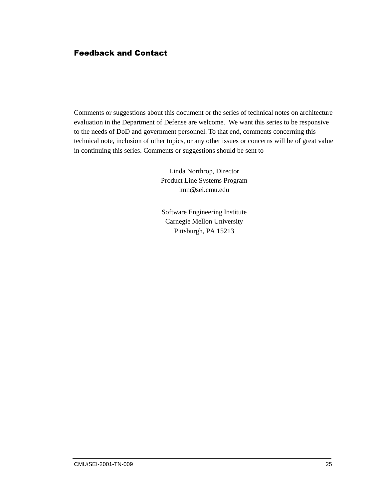## **Feedback and Contact**

Comments or suggestions about this document or the series of technical notes on architecture evaluation in the Department of Defense are welcome. We want this series to be responsive to the needs of DoD and government personnel. To that end, comments concerning this technical note, inclusion of other topics, or any other issues or concerns will be of great value in continuing this series. Comments or suggestions should be sent to

> Linda Northrop, Director Product Line Systems Program lmn@sei.cmu.edu

> Software Engineering Institute Carnegie Mellon University Pittsburgh, PA 15213